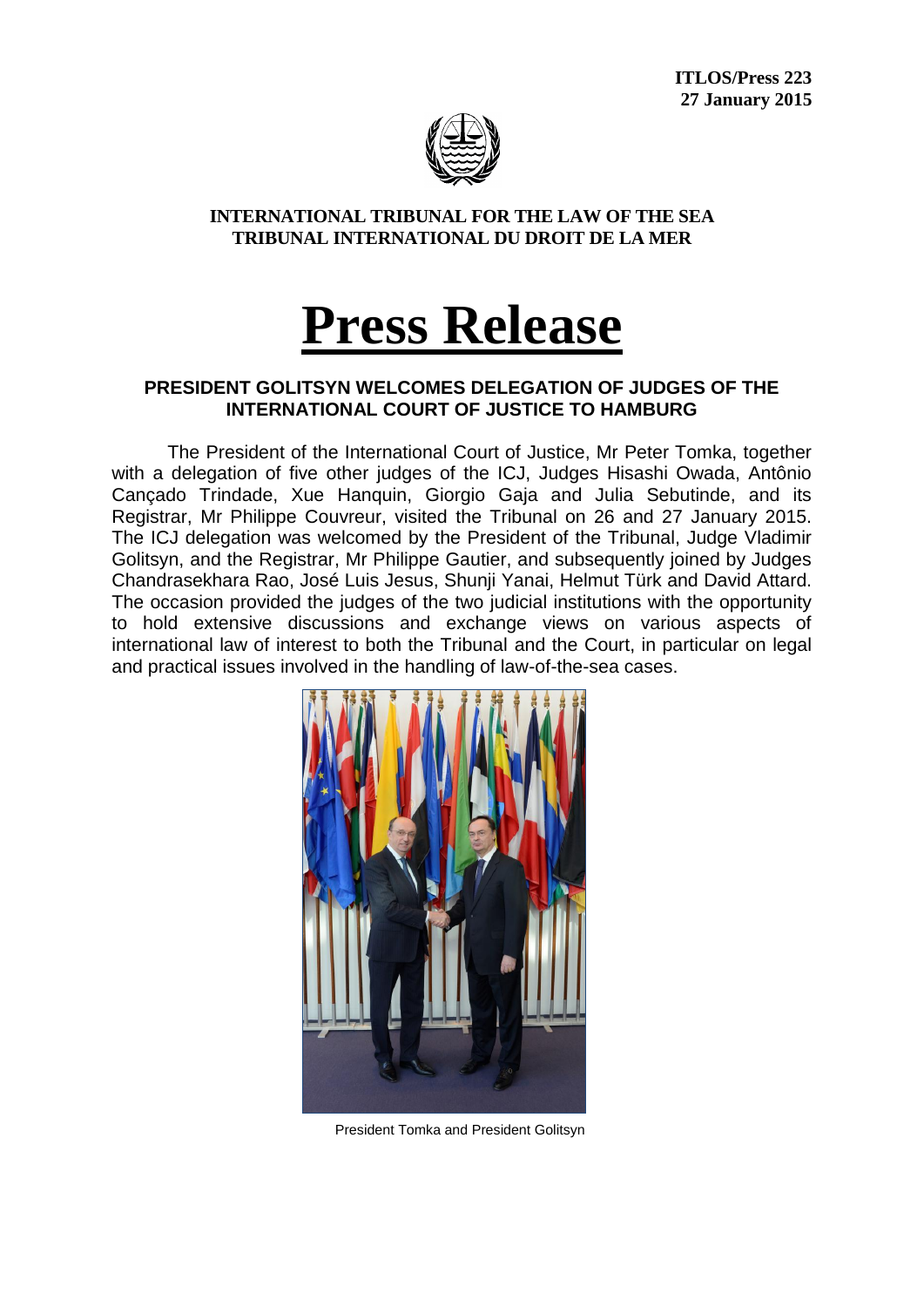**ITLOS/Press 223 27 January 2015**



## **INTERNATIONAL TRIBUNAL FOR THE LAW OF THE SEA TRIBUNAL INTERNATIONAL DU DROIT DE LA MER**

## **Press Release**

## **PRESIDENT GOLITSYN WELCOMES DELEGATION OF JUDGES OF THE INTERNATIONAL COURT OF JUSTICE TO HAMBURG**

The President of the International Court of Justice, Mr Peter Tomka, together with a delegation of five other judges of the ICJ, Judges Hisashi Owada, Antônio Cançado Trindade, Xue Hanquin, Giorgio Gaja and Julia Sebutinde, and its Registrar, Mr Philippe Couvreur, visited the Tribunal on 26 and 27 January 2015. The ICJ delegation was welcomed by the President of the Tribunal, Judge Vladimir Golitsyn, and the Registrar, Mr Philippe Gautier, and subsequently joined by Judges Chandrasekhara Rao, José Luis Jesus, Shunji Yanai, Helmut Türk and David Attard. The occasion provided the judges of the two judicial institutions with the opportunity to hold extensive discussions and exchange views on various aspects of international law of interest to both the Tribunal and the Court, in particular on legal and practical issues involved in the handling of law-of-the-sea cases.



President Tomka and President Golitsyn